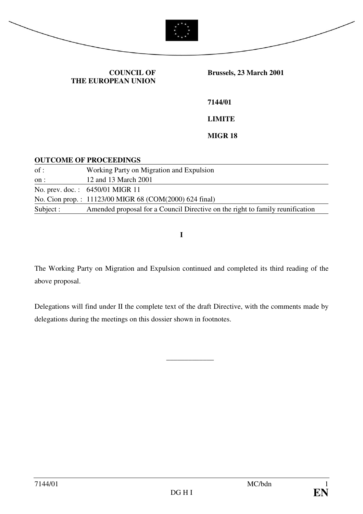

#### **COUNCIL OF THE EUROPEAN UNION**

 **Brussels, 23 March 2001** 

**7144/01** 

**LIMITE** 

**MIGR 18** 

#### **OUTCOME OF PROCEEDINGS**

| of:       | Working Party on Migration and Expulsion                                      |
|-----------|-------------------------------------------------------------------------------|
| on :      | 12 and 13 March 2001                                                          |
|           | No. prev. doc.: 6450/01 MIGR 11                                               |
|           | No. Cion prop.: 11123/00 MIGR 68 (COM(2000) 624 final)                        |
| Subject : | Amended proposal for a Council Directive on the right to family reunification |

**I** 

The Working Party on Migration and Expulsion continued and completed its third reading of the above proposal.

Delegations will find under II the complete text of the draft Directive, with the comments made by delegations during the meetings on this dossier shown in footnotes.

\_\_\_\_\_\_\_\_\_\_\_\_\_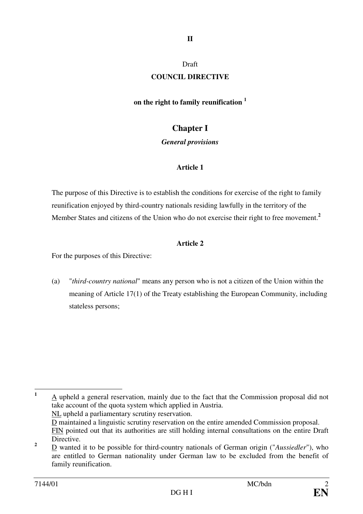## **II**

#### Draft

#### **COUNCIL DIRECTIVE**

#### **on the right to family reunification <sup>1</sup>**

## **Chapter I**

#### *General provisions*

### **Article 1**

The purpose of this Directive is to establish the conditions for exercise of the right to family reunification enjoyed by third-country nationals residing lawfully in the territory of the Member States and citizens of the Union who do not exercise their right to free movement.**<sup>2</sup>**

#### **Article 2**

For the purposes of this Directive:

(a) "*third-country national*" means any person who is not a citizen of the Union within the meaning of Article 17(1) of the Treaty establishing the European Community, including stateless persons;

 **1** A upheld a general reservation, mainly due to the fact that the Commission proposal did not take account of the quota system which applied in Austria. NL upheld a parliamentary scrutiny reservation. D maintained a linguistic scrutiny reservation on the entire amended Commission proposal.

FIN pointed out that its authorities are still holding internal consultations on the entire Draft **Directive** 

**<sup>2</sup>** D wanted it to be possible for third-country nationals of German origin ("*Aussiedler*"), who are entitled to German nationality under German law to be excluded from the benefit of family reunification.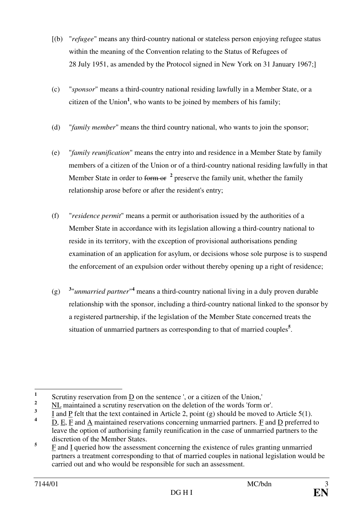- [(b) "*refugee*" means any third-country national or stateless person enjoying refugee status within the meaning of the Convention relating to the Status of Refugees of 28 July 1951, as amended by the Protocol signed in New York on 31 January 1967;]
- (c) "*sponsor*" means a third-country national residing lawfully in a Member State, or a citizen of the Union**<sup>1</sup>** , who wants to be joined by members of his family;
- (d) "*family member*" means the third country national, who wants to join the sponsor;
- (e) "*family reunification*" means the entry into and residence in a Member State by family members of a citizen of the Union or of a third-country national residing lawfully in that Member State in order to form or <sup>2</sup> preserve the family unit, whether the family relationship arose before or after the resident's entry;
- (f) "*residence permit*" means a permit or authorisation issued by the authorities of a Member State in accordance with its legislation allowing a third-country national to reside in its territory, with the exception of provisional authorisations pending examination of an application for asylum, or decisions whose sole purpose is to suspend the enforcement of an expulsion order without thereby opening up a right of residence;
- $(g)$ "*unmarried partner*"<sup>4</sup> means a third-country national living in a duly proven durable relationship with the sponsor, including a third-country national linked to the sponsor by a registered partnership, if the legislation of the Member State concerned treats the situation of unmarried partners as corresponding to that of married couples**<sup>5</sup>** .

 **1** Scrutiny reservation from D on the sentence ', or a citizen of the Union,'

**<sup>2</sup>** NL maintained a scrutiny reservation on the deletion of the words 'form or'.

**<sup>3</sup>** I and P felt that the text contained in Article 2, point (g) should be moved to Article 5(1).

**<sup>4</sup>**  $D, E, F$  and  $\overline{A}$  maintained reservations concerning unmarried partners.  $\overline{F}$  and  $\overline{D}$  preferred to leave the option of authorising family reunification in the case of unmarried partners to the discretion of the Member States.

**<sup>5</sup>** F and I queried how the assessment concerning the existence of rules granting unmarried partners a treatment corresponding to that of married couples in national legislation would be carried out and who would be responsible for such an assessment.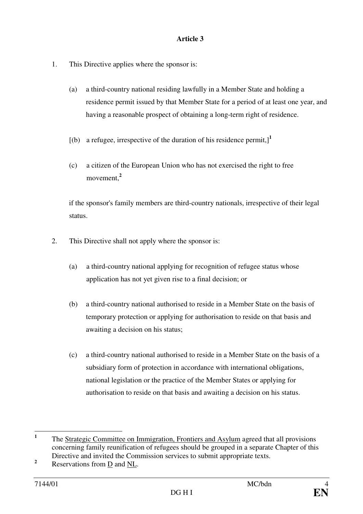- 1. This Directive applies where the sponsor is:
	- (a) a third-country national residing lawfully in a Member State and holding a residence permit issued by that Member State for a period of at least one year, and having a reasonable prospect of obtaining a long-term right of residence.
	- $[(b)$  a refugee, irrespective of the duration of his residence permit, $]^{1}$
	- (c) a citizen of the European Union who has not exercised the right to free movement,**<sup>2</sup>**

if the sponsor's family members are third-country nationals, irrespective of their legal status.

- 2. This Directive shall not apply where the sponsor is:
	- (a) a third-country national applying for recognition of refugee status whose application has not yet given rise to a final decision; or
	- (b) a third-country national authorised to reside in a Member State on the basis of temporary protection or applying for authorisation to reside on that basis and awaiting a decision on his status;
	- (c) a third-country national authorised to reside in a Member State on the basis of a subsidiary form of protection in accordance with international obligations, national legislation or the practice of the Member States or applying for authorisation to reside on that basis and awaiting a decision on his status.

 **1** The Strategic Committee on Immigration, Frontiers and Asylum agreed that all provisions concerning family reunification of refugees should be grouped in a separate Chapter of this Directive and invited the Commission services to submit appropriate texts.

**<sup>2</sup>** Reservations from D and NL.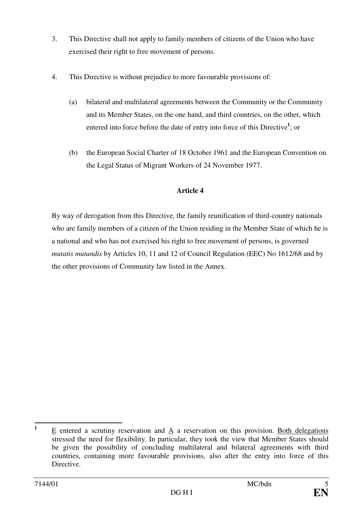- 3. This Directive shall not apply to family members of citizens of the Union who have exercised their right to free movement of persons.
- 4. This Directive is without prejudice to more favourable provisions of:
	- (a) bilateral and multilateral agreements between the Community or the Community and its Member States, on the one hand, and third countries, on the other, which entered into force before the date of entry into force of this Directive**<sup>1</sup>** ; or
	- (b) the European Social Charter of 18 October 1961 and the European Convention on the Legal Status of Migrant Workers of 24 November 1977.

By way of derogation from this Directive, the family reunification of third-country nationals who are family members of a citizen of the Union residing in the Member State of which he is a national and who has not exercised his right to free movement of persons, is governed *mutatis mutandis* by Articles 10, 11 and 12 of Council Regulation (EEC) No 1612/68 and by the other provisions of Community law listed in the Annex.

 **1** E entered a scrutiny reservation and A a reservation on this provision. Both delegations stressed the need for flexibility. In particular, they took the view that Member States should be given the possibility of concluding multilateral and bilateral agreements with third countries, containing more favourable provisions, also after the entry into force of this Directive.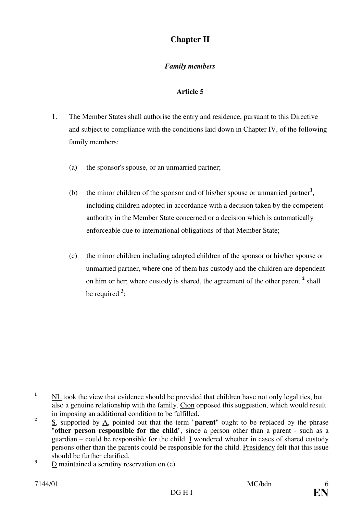# **Chapter II**

## *Family members*

- 1. The Member States shall authorise the entry and residence, pursuant to this Directive and subject to compliance with the conditions laid down in Chapter IV, of the following family members:
	- (a) the sponsor's spouse, or an unmarried partner;
	- (b) the minor children of the sponsor and of his/her spouse or unmarried partner**<sup>1</sup>** , including children adopted in accordance with a decision taken by the competent authority in the Member State concerned or a decision which is automatically enforceable due to international obligations of that Member State;
	- (c) the minor children including adopted children of the sponsor or his/her spouse or unmarried partner, where one of them has custody and the children are dependent on him or her; where custody is shared, the agreement of the other parent <sup>2</sup> shall be required **<sup>3</sup>** ;

 **1** NL took the view that evidence should be provided that children have not only legal ties, but also a genuine relationship with the family. Cion opposed this suggestion, which would result in imposing an additional condition to be fulfilled.

**<sup>2</sup>** S, supported by A, pointed out that the term "**parent**" ought to be replaced by the phrase "**other person responsible for the child**", since a person other than a parent - such as a guardian – could be responsible for the child. I wondered whether in cases of shared custody persons other than the parents could be responsible for the child. Presidency felt that this issue should be further clarified.

**<sup>3</sup>** D maintained a scrutiny reservation on (c).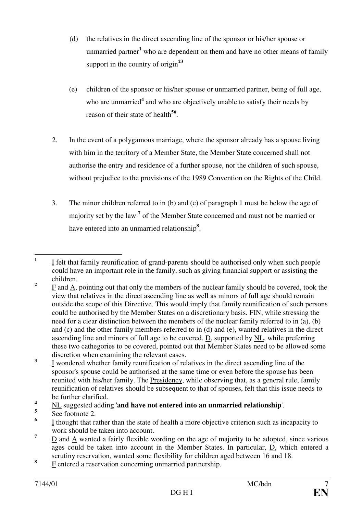- (d) the relatives in the direct ascending line of the sponsor or his/her spouse or unmarried partner**<sup>1</sup>** who are dependent on them and have no other means of family support in the country of origin**<sup>23</sup>**
- (e) children of the sponsor or his/her spouse or unmarried partner, being of full age, who are unmarried<sup>4</sup> and who are objectively unable to satisfy their needs by reason of their state of health<sup>56</sup>.
- 2. In the event of a polygamous marriage, where the sponsor already has a spouse living with him in the territory of a Member State, the Member State concerned shall not authorise the entry and residence of a further spouse, nor the children of such spouse, without prejudice to the provisions of the 1989 Convention on the Rights of the Child.
- 3. The minor children referred to in (b) and (c) of paragraph 1 must be below the age of majority set by the law<sup>7</sup> of the Member State concerned and must not be married or have entered into an unmarried relationship**<sup>8</sup>** .

 **1** I felt that family reunification of grand-parents should be authorised only when such people could have an important role in the family, such as giving financial support or assisting the children.

**<sup>2</sup>** F and A, pointing out that only the members of the nuclear family should be covered, took the view that relatives in the direct ascending line as well as minors of full age should remain outside the scope of this Directive. This would imply that family reunification of such persons could be authorised by the Member States on a discretionary basis. FIN, while stressing the need for a clear distinction between the members of the nuclear family referred to in (a), (b) and (c) and the other family members referred to in (d) and (e), wanted relatives in the direct ascending line and minors of full age to be covered. D, supported by NL, while preferring these two cathegories to be covered, pointed out that Member States need to be allowed some discretion when examining the relevant cases.

**<sup>3</sup>** I wondered whether family reunification of relatives in the direct ascending line of the sponsor's spouse could be authorised at the same time or even before the spouse has been reunited with his/her family. The Presidency, while observing that, as a general rule, family reunification of relatives should be subsequent to that of spouses, felt that this issue needs to be further clarified.

**<sup>4</sup>** NL suggested adding '**and have not entered into an unmarried relationship**'.

**<sup>5</sup>** See footnote 2.

**<sup>6</sup>** I thought that rather than the state of health a more objective criterion such as incapacity to work should be taken into account.

**<sup>7</sup>** D and A wanted a fairly flexible wording on the age of majority to be adopted, since various ages could be taken into account in the Member States. In particular, D, which entered a scrutiny reservation, wanted some flexibility for children aged between 16 and 18.

**<sup>8</sup>** F entered a reservation concerning unmarried partnership.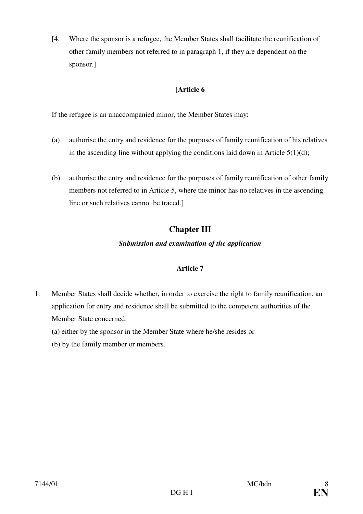[4. Where the sponsor is a refugee, the Member States shall facilitate the reunification of other family members not referred to in paragraph 1, if they are dependent on the sponsor.]

## **[Article 6**

If the refugee is an unaccompanied minor, the Member States may:

- (a) authorise the entry and residence for the purposes of family reunification of his relatives in the ascending line without applying the conditions laid down in Article  $5(1)(d)$ ;
- (b) authorise the entry and residence for the purposes of family reunification of other family members not referred to in Article 5, where the minor has no relatives in the ascending line or such relatives cannot be traced.]

# **Chapter III**

### *Submission and examination of the application*

- 1. Member States shall decide whether, in order to exercise the right to family reunification, an application for entry and residence shall be submitted to the competent authorities of the Member State concerned:
	- (a) either by the sponsor in the Member State where he/she resides or
	- (b) by the family member or members.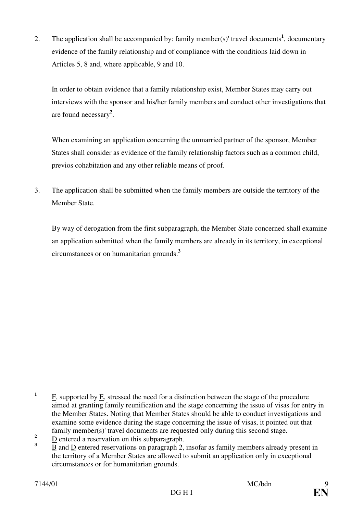2. The application shall be accompanied by: family member(s)' travel documents**<sup>1</sup>** , documentary evidence of the family relationship and of compliance with the conditions laid down in Articles 5, 8 and, where applicable, 9 and 10.

 In order to obtain evidence that a family relationship exist, Member States may carry out interviews with the sponsor and his/her family members and conduct other investigations that are found necessary**<sup>2</sup>** .

 When examining an application concerning the unmarried partner of the sponsor, Member States shall consider as evidence of the family relationship factors such as a common child, previos cohabitation and any other reliable means of proof.

3. The application shall be submitted when the family members are outside the territory of the Member State.

By way of derogation from the first subparagraph, the Member State concerned shall examine an application submitted when the family members are already in its territory, in exceptional circumstances or on humanitarian grounds.**<sup>3</sup>**

 **1** F, supported by E, stressed the need for a distinction between the stage of the procedure aimed at granting family reunification and the stage concerning the issue of visas for entry in the Member States. Noting that Member States should be able to conduct investigations and examine some evidence during the stage concerning the issue of visas, it pointed out that family member(s)' travel documents are requested only during this second stage.

**<sup>2</sup>** D entered a reservation on this subparagraph.

**<sup>3</sup>**  $\underline{B}$  and  $\underline{D}$  entered reservations on paragraph 2, insofar as family members already present in the territory of a Member States are allowed to submit an application only in exceptional circumstances or for humanitarian grounds.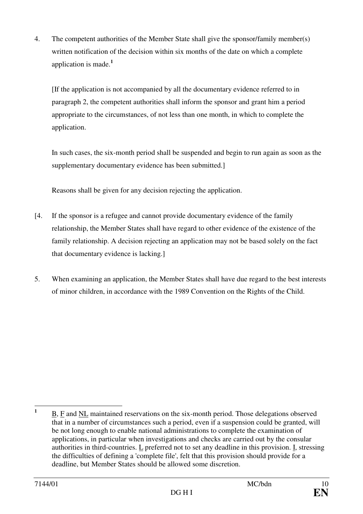4. The competent authorities of the Member State shall give the sponsor/family member(s) written notification of the decision within six months of the date on which a complete application is made.**<sup>1</sup>**

[If the application is not accompanied by all the documentary evidence referred to in paragraph 2, the competent authorities shall inform the sponsor and grant him a period appropriate to the circumstances, of not less than one month, in which to complete the application.

In such cases, the six-month period shall be suspended and begin to run again as soon as the supplementary documentary evidence has been submitted.]

Reasons shall be given for any decision rejecting the application.

- [4. If the sponsor is a refugee and cannot provide documentary evidence of the family relationship, the Member States shall have regard to other evidence of the existence of the family relationship. A decision rejecting an application may not be based solely on the fact that documentary evidence is lacking.]
- 5. When examining an application, the Member States shall have due regard to the best interests of minor children, in accordance with the 1989 Convention on the Rights of the Child.

 **1** B, F and NL maintained reservations on the six-month period. Those delegations observed that in a number of circumstances such a period, even if a suspension could be granted, will be not long enough to enable national administrations to complete the examination of applications, in particular when investigations and checks are carried out by the consular authorities in third-countries. L preferred not to set any deadline in this provision. I, stressing the difficulties of defining a 'complete file', felt that this provision should provide for a deadline, but Member States should be allowed some discretion.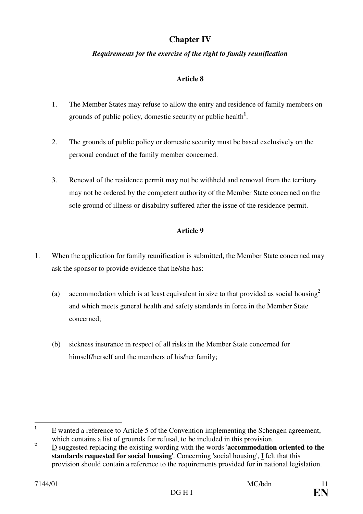# **Chapter IV**

### *Requirements for the exercise of the right to family reunification*

## **Article 8**

- 1. The Member States may refuse to allow the entry and residence of family members on grounds of public policy, domestic security or public health**<sup>1</sup>** .
- 2. The grounds of public policy or domestic security must be based exclusively on the personal conduct of the family member concerned.
- 3. Renewal of the residence permit may not be withheld and removal from the territory may not be ordered by the competent authority of the Member State concerned on the sole ground of illness or disability suffered after the issue of the residence permit.

- 1. When the application for family reunification is submitted, the Member State concerned may ask the sponsor to provide evidence that he/she has:
	- (a) accommodation which is at least equivalent in size to that provided as social housing**<sup>2</sup>** and which meets general health and safety standards in force in the Member State concerned;
	- (b) sickness insurance in respect of all risks in the Member State concerned for himself/herself and the members of his/her family;

 **1** E wanted a reference to Article 5 of the Convention implementing the Schengen agreement, which contains a list of grounds for refusal, to be included in this provision.

**<sup>2</sup>** D suggested replacing the existing wording with the words '**accommodation oriented to the standards requested for social housing**'. Concerning 'social housing', I felt that this provision should contain a reference to the requirements provided for in national legislation.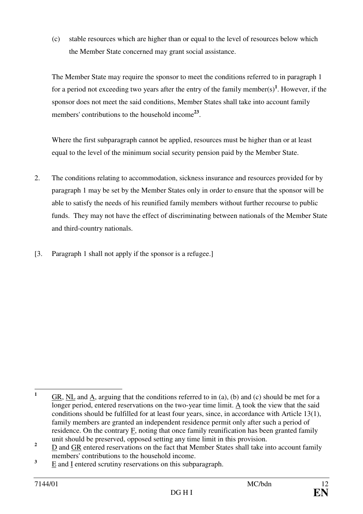(c) stable resources which are higher than or equal to the level of resources below which the Member State concerned may grant social assistance.

The Member State may require the sponsor to meet the conditions referred to in paragraph 1 for a period not exceeding two years after the entry of the family member(s)**<sup>1</sup>** . However, if the sponsor does not meet the said conditions, Member States shall take into account family members' contributions to the household income<sup>23</sup>.

Where the first subparagraph cannot be applied, resources must be higher than or at least equal to the level of the minimum social security pension paid by the Member State.

- 2. The conditions relating to accommodation, sickness insurance and resources provided for by paragraph 1 may be set by the Member States only in order to ensure that the sponsor will be able to satisfy the needs of his reunified family members without further recourse to public funds. They may not have the effect of discriminating between nationals of the Member State and third-country nationals.
- [3. Paragraph 1 shall not apply if the sponsor is a refugee.]

 **1** GR, NL and A, arguing that the conditions referred to in (a), (b) and (c) should be met for a longer period, entered reservations on the two-year time limit. A took the view that the said conditions should be fulfilled for at least four years, since, in accordance with Article 13(1), family members are granted an independent residence permit only after such a period of residence. On the contrary F, noting that once family reunification has been granted family unit should be preserved, opposed setting any time limit in this provision.

**<sup>2</sup>** D and GR entered reservations on the fact that Member States shall take into account family members' contributions to the household income.

**<sup>3</sup>** E and I entered scrutiny reservations on this subparagraph.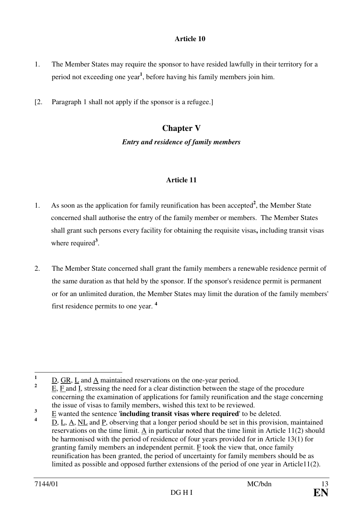- 1. The Member States may require the sponsor to have resided lawfully in their territory for a period not exceeding one year**<sup>1</sup>** , before having his family members join him.
- [2. Paragraph 1 shall not apply if the sponsor is a refugee.]

## **Chapter V**

#### *Entry and residence of family members*

- 1. As soon as the application for family reunification has been accepted**<sup>2</sup>** , the Member State concerned shall authorise the entry of the family member or members. The Member States shall grant such persons every facility for obtaining the requisite visas**,** including transit visas where required<sup>3</sup>.
- 2. The Member State concerned shall grant the family members a renewable residence permit of the same duration as that held by the sponsor. If the sponsor's residence permit is permanent or for an unlimited duration, the Member States may limit the duration of the family members' first residence permits to one year. **<sup>4</sup>**

 **1** D, GR, L and A maintained reservations on the one-year period.

**<sup>2</sup>** E, F and I, stressing the need for a clear distinction between the stage of the procedure concerning the examination of applications for family reunification and the stage concerning the issue of visas to family members, wished this text to be reviewed.

**<sup>3</sup>** E wanted the sentence '**including transit visas where required**' to be deleted.

**<sup>4</sup>** D, L, A, NL and P, observing that a longer period should be set in this provision, maintained reservations on the time limit. A in particular noted that the time limit in Article 11(2) should be harmonised with the period of residence of four years provided for in Article 13(1) for granting family members an independent permit.  $\overline{F}$  took the view that, once family reunification has been granted, the period of uncertainty for family members should be as limited as possible and opposed further extensions of the period of one year in Article11(2).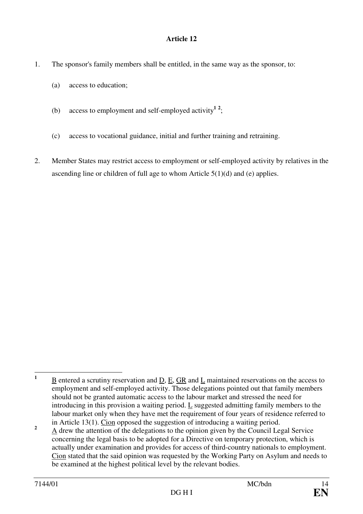- 1. The sponsor's family members shall be entitled, in the same way as the sponsor, to:
	- (a) access to education;
	- (b) access to employment and self-employed activity<sup>12</sup>;
	- (c) access to vocational guidance, initial and further training and retraining.
- 2. Member States may restrict access to employment or self-employed activity by relatives in the ascending line or children of full age to whom Article 5(1)(d) and (e) applies.

 **1** B entered a scrutiny reservation and D, E, GR and L maintained reservations on the access to employment and self-employed activity. Those delegations pointed out that family members should not be granted automatic access to the labour market and stressed the need for introducing in this provision a waiting period. L suggested admitting family members to the labour market only when they have met the requirement of four years of residence referred to in Article 13(1). Cion opposed the suggestion of introducing a waiting period.

**<sup>2</sup>** A drew the attention of the delegations to the opinion given by the Council Legal Service concerning the legal basis to be adopted for a Directive on temporary protection, which is actually under examination and provides for access of third-country nationals to employment. Cion stated that the said opinion was requested by the Working Party on Asylum and needs to be examined at the highest political level by the relevant bodies.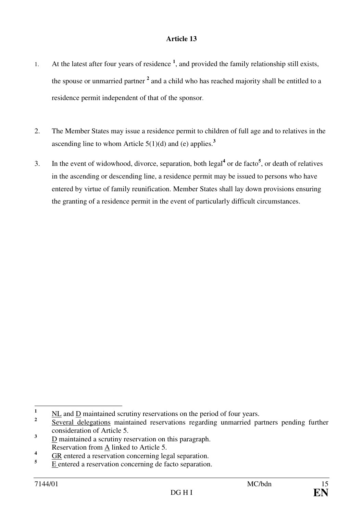- 1. At the latest after four years of residence **<sup>1</sup>** , and provided the family relationship still exists, the spouse or unmarried partner <sup>2</sup> and a child who has reached majority shall be entitled to a residence permit independent of that of the sponsor.
- 2. The Member States may issue a residence permit to children of full age and to relatives in the ascending line to whom Article  $5(1)(d)$  and (e) applies.<sup>3</sup>
- 3. In the event of widowhood, divorce, separation, both legal<sup>4</sup> or de facto<sup>5</sup>, or death of relatives in the ascending or descending line, a residence permit may be issued to persons who have entered by virtue of family reunification. Member States shall lay down provisions ensuring the granting of a residence permit in the event of particularly difficult circumstances.

 $\mathbf{1}$ **<sup>1</sup>**NL and D maintained scrutiny reservations on the period of four years.

**<sup>2</sup>** Several delegations maintained reservations regarding unmarried partners pending further consideration of Article 5.

**<sup>3</sup>** D maintained a scrutiny reservation on this paragraph. Reservation from A linked to Article 5.

**<sup>4</sup>** GR entered a reservation concerning legal separation.

**<sup>5</sup>** E entered a reservation concerning de facto separation.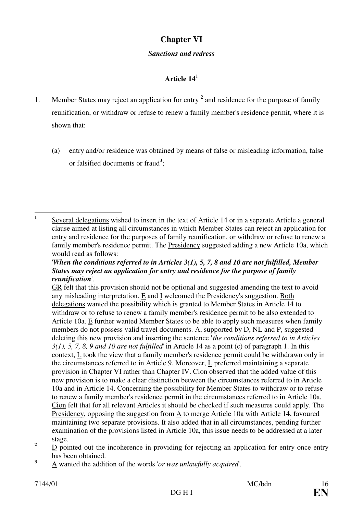## **Chapter VI**

#### *Sanctions and redress*

## **Article 14**<sup>1</sup>

- 1. Member States may reject an application for entry **<sup>2</sup>** and residence for the purpose of family reunification, or withdraw or refuse to renew a family member's residence permit, where it is shown that:
	- (a) entry and/or residence was obtained by means of false or misleading information, false or falsified documents or fraud**<sup>3</sup>** ;

#### '*When the conditions referred to in Articles 3(1), 5, 7, 8 and 10 are not fulfilled, Member States may reject an application for entry and residence for the purpose of family reunification*'.

 GR felt that this provision should not be optional and suggested amending the text to avoid any misleading interpretation. E and I welcomed the Presidency's suggestion. Both delegations wanted the possibility which is granted to Member States in Article 14 to withdraw or to refuse to renew a family member's residence permit to be also extended to Article 10a. E further wanted Member States to be able to apply such measures when family members do not possess valid travel documents. A, supported by D, NL and P, suggested deleting this new provision and inserting the sentence **'***the conditions referred to in Articles 3(1), 5, 7, 8, 9 and 10 are not fulfilled*' in Article 14 as a point (c) of paragraph 1. In this context, L took the view that a family member's residence permit could be withdrawn only in the circumstances referred to in Article 9. Moreover, L preferred maintaining a separate provision in Chapter VI rather than Chapter IV. Cion observed that the added value of this new provision is to make a clear distinction between the circumstances referred to in Article 10a and in Article 14. Concerning the possibility for Member States to withdraw or to refuse to renew a family member's residence permit in the circumstances referred to in Article 10a, Cion felt that for all relevant Articles it should be checked if such measures could apply. The Presidency, opposing the suggestion from A to merge Article 10a with Article 14, favoured maintaining two separate provisions. It also added that in all circumstances, pending further examination of the provisions listed in Article 10a, this issue needs to be addressed at a later stage.

- **2** D pointed out the incoherence in providing for rejecting an application for entry once entry has been obtained.
- **3** A wanted the addition of the words '*or was unlawfully acquired*'.

 **1** Several delegations wished to insert in the text of Article 14 or in a separate Article a general clause aimed at listing all circumstances in which Member States can reject an application for entry and residence for the purposes of family reunification, or withdraw or refuse to renew a family member's residence permit. The Presidency suggested adding a new Article 10a, which would read as follows: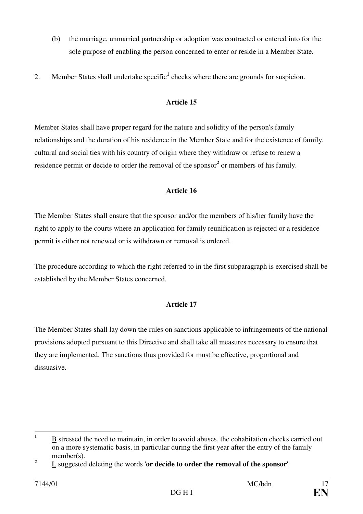- (b) the marriage, unmarried partnership or adoption was contracted or entered into for the sole purpose of enabling the person concerned to enter or reside in a Member State.
- 2. Member States shall undertake specific<sup>1</sup> checks where there are grounds for suspicion.

Member States shall have proper regard for the nature and solidity of the person's family relationships and the duration of his residence in the Member State and for the existence of family, cultural and social ties with his country of origin where they withdraw or refuse to renew a residence permit or decide to order the removal of the sponsor<sup>2</sup> or members of his family.

### **Article 16**

The Member States shall ensure that the sponsor and/or the members of his/her family have the right to apply to the courts where an application for family reunification is rejected or a residence permit is either not renewed or is withdrawn or removal is ordered.

The procedure according to which the right referred to in the first subparagraph is exercised shall be established by the Member States concerned.

#### **Article 17**

The Member States shall lay down the rules on sanctions applicable to infringements of the national provisions adopted pursuant to this Directive and shall take all measures necessary to ensure that they are implemented. The sanctions thus provided for must be effective, proportional and dissuasive.

 **1** B stressed the need to maintain, in order to avoid abuses, the cohabitation checks carried out on a more systematic basis, in particular during the first year after the entry of the family member(s).

**<sup>2</sup>** L suggested deleting the words '**or decide to order the removal of the sponsor**'.